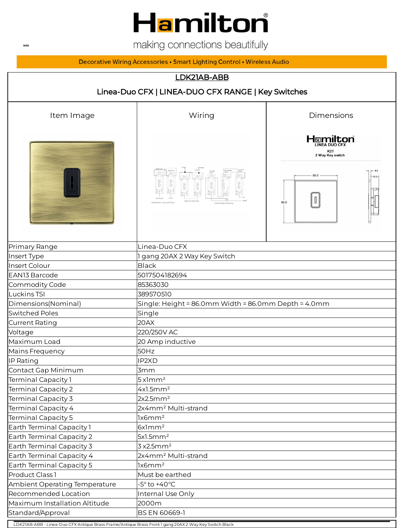

making connections beautifully

Decorative Wiring Accessories • Smart Lighting Control • Wireless Audio

## LDK21AB-ABB Linea-Duo CFX | LINEA-DUO CFX RANGE | Key Switches Item Image The Contract Contract Contract Miring The Dimensions Hamilton K21<br>2 Way Key switch 86.0 - $\vert$  0  $\vert$  $86.0$ Primary Range **Linea-Duo CFX** Insert Type 1 gang 20AX 2 Way Key Switch Insert Colour Black EAN13 Barcode 5017504182694 Commodity Code 85363030 Luckins TSI 389570510 Dimensions(Nominal) Single: Height = 86.0mm Width = 86.0mm Depth = 4.0mm Switched Poles **Single** Single Current Rating **20AX** Voltage 220/250V AC Maximum Load 20 Amp inductive Mains Frequency **50Hz** IP Rating **IP** Rating IP2XD Contact Gap Minimum **3mm** Terminal Capacity 1 5x1mm<sup>2</sup>  $\text{Terminal Capacity 2} \quad |4x1.5\text{mm}^2$  $\text{Terminal Capacity 3} \qquad |2x2.5\text{mm}^2$ Terminal Capacity 4 2x4mm² Multi-strand  $\text{Terminal Capacity 5} \qquad | \text{lx6mm}^2$ Earth Terminal Capacity 1 [6x1mm<sup>2</sup>] Earth Terminal Capacity 2 5x1.5mm<sup>2</sup> Earth Terminal Capacity 3  $3 \times 2.5$ mm<sup>2</sup> Earth Terminal Capacity 4 2x4mm<sup>2</sup> Multi-strand Earth Terminal Capacity 5 1x6mm<sup>2</sup> Product Class 1 Must be earthed Ambient Operating Temperature  $-5^\circ$  to +40°C Recommended Location **Internal Use Only** Maximum Installation Altitude 2000m Standard/Approval BS EN 60669-1

LDK21AB-ABB - Linea-Duo CFX Antique Brass Frame/Antique Brass Front 1 gang 20AX 2 Way Key Switch Black

**WEB**